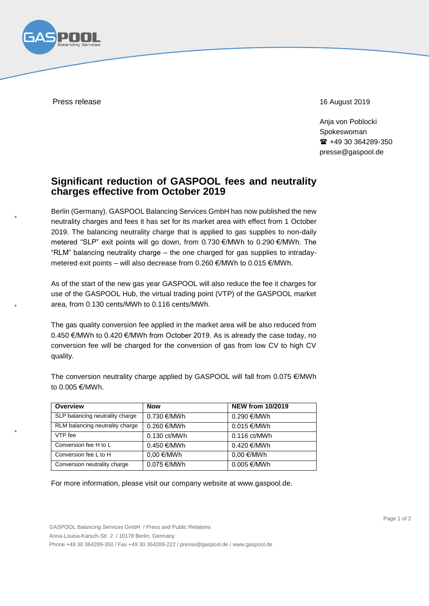

Press release 16 August 2019

Anja von Poblocki Spokeswoman ■ +49 30 364289-350 presse@gaspool.de

## **Significant reduction of GASPOOL fees and neutrality charges effective from October 2019**

Berlin (Germany). GASPOOL Balancing Services GmbH has now published the new neutrality charges and fees it has set for its market area with effect from 1 October 2019. The balancing neutrality charge that is applied to gas supplies to non-daily metered "SLP" exit points will go down, from 0.730 €/MWh to 0.290 €/MWh. The "RLM" balancing neutrality charge – the one charged for gas supplies to intradaymetered exit points – will also decrease from 0.260 €/MWh to 0.015 €/MWh.

As of the start of the new gas year GASPOOL will also reduce the fee it charges for use of the GASPOOL Hub, the virtual trading point (VTP) of the GASPOOL market area, from 0.130 cents/MWh to 0.116 cents/MWh.

The gas quality conversion fee applied in the market area will be also reduced from 0.450 €/MWh to 0.420 €/MWh from October 2019. As is already the case today, no conversion fee will be charged for the conversion of gas from low CV to high CV quality.

The conversion neutrality charge applied by GASPOOL will fall from 0.075  $\epsilon$ /MWh to 0.005 €/MWh.

| Overview                        | <b>Now</b>                | <b>NEW from 10/2019</b> |
|---------------------------------|---------------------------|-------------------------|
| SLP balancing neutrality charge | $0.730 \text{ } \in$ /MWh | 0.290 €/MWh             |
| RLM balancing neutrality charge | 0.260 €/MWh               | $0.015 \in$ /MWh        |
| VTP fee                         | 0.130 ct/MWh              | $0.116$ ct/MWh          |
| Conversion fee H to L           | $0.450 \in$ /MWh          | $0.420 \notin$ /MWh     |
| Conversion fee L to H           | $0.00 \in$ /MWh           | $0.00 \in$ /MWh         |
| Conversion neutrality charge    | $0.075 \in$ /MWh          | 0.005 €/MWh             |

For more information, please visit our company website at [www.gaspool.de.](http://www.gaspool.de/)

GASPOOL Balancing Services GmbH / Press and Public Relations Anna-Louisa-Karsch-Str. 2 / 10178 Berlin, Germany Phone +49 30 364289-350 / Fax +49 30 364289-222 / presse@gaspool.de / [www.gaspool.de](http://www.gaspool.de/)